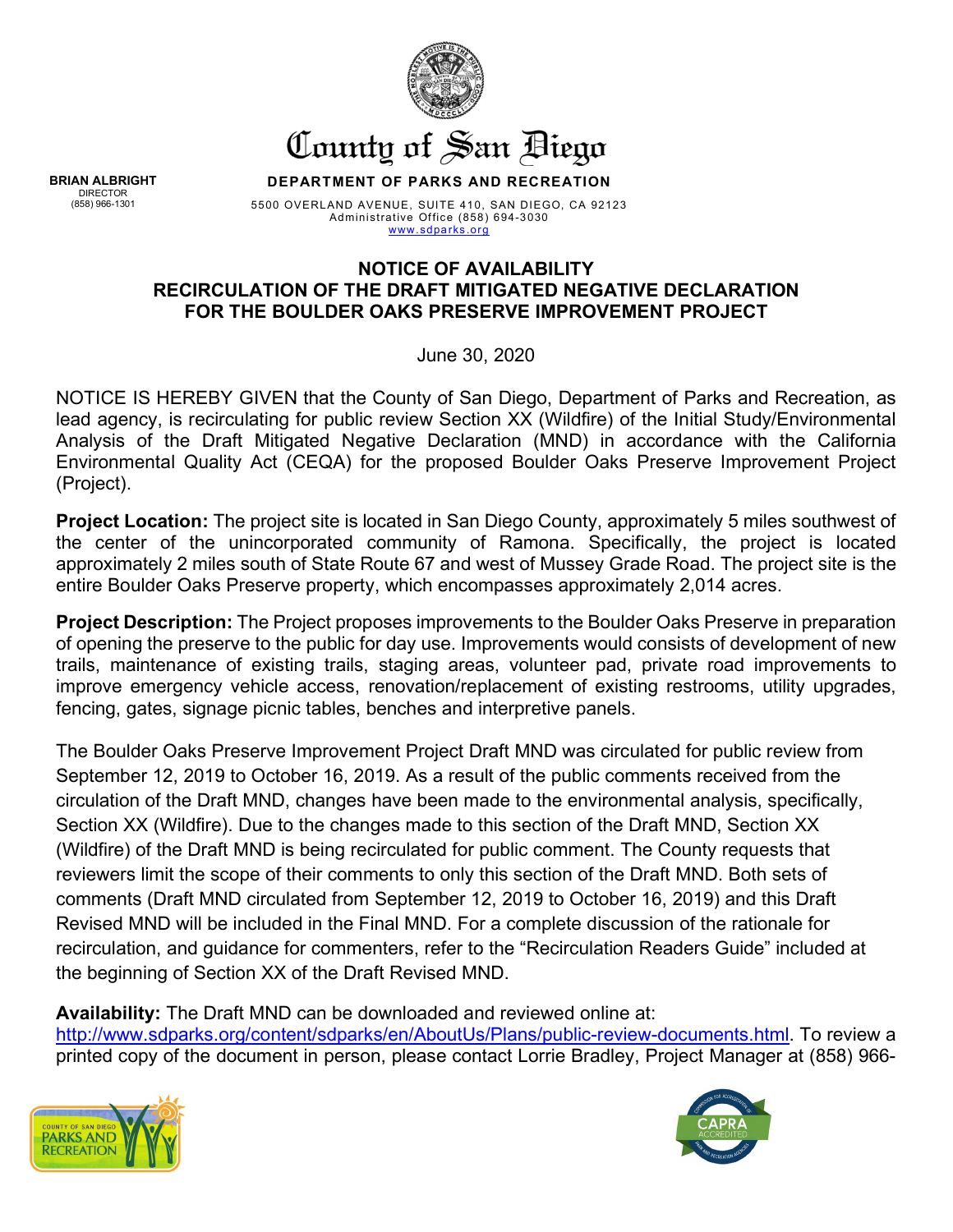

County of San Biego

**DEPARTMENT OF PARKS AND RECREATION**

5500 OVERLAND AVENUE, SUITE 410, SAN DIEGO, CA 92123 Administrative Office (858) 694-3030 [www.sdparks.org](http://www.sdparks.org/) 

## **NOTICE OF AVAILABILITY RECIRCULATION OF THE DRAFT MITIGATED NEGATIVE DECLARATION FOR THE BOULDER OAKS PRESERVE IMPROVEMENT PROJECT**

June 30, 2020

NOTICE IS HEREBY GIVEN that the County of San Diego, Department of Parks and Recreation, as lead agency, is recirculating for public review Section XX (Wildfire) of the Initial Study/Environmental Analysis of the Draft Mitigated Negative Declaration (MND) in accordance with the California Environmental Quality Act (CEQA) for the proposed Boulder Oaks Preserve Improvement Project (Project).

**Project Location:** The project site is located in San Diego County, approximately 5 miles southwest of the center of the unincorporated community of Ramona. Specifically, the project is located approximately 2 miles south of State Route 67 and west of Mussey Grade Road. The project site is the entire Boulder Oaks Preserve property, which encompasses approximately 2,014 acres.

**Project Description:** The Project proposes improvements to the Boulder Oaks Preserve in preparation of opening the preserve to the public for day use. Improvements would consists of development of new trails, maintenance of existing trails, staging areas, volunteer pad, private road improvements to improve emergency vehicle access, renovation/replacement of existing restrooms, utility upgrades, fencing, gates, signage picnic tables, benches and interpretive panels.

The Boulder Oaks Preserve Improvement Project Draft MND was circulated for public review from September 12, 2019 to October 16, 2019. As a result of the public comments received from the circulation of the Draft MND, changes have been made to the environmental analysis, specifically, Section XX (Wildfire). Due to the changes made to this section of the Draft MND, Section XX (Wildfire) of the Draft MND is being recirculated for public comment. The County requests that reviewers limit the scope of their comments to only this section of the Draft MND. Both sets of comments (Draft MND circulated from September 12, 2019 to October 16, 2019) and this Draft Revised MND will be included in the Final MND. For a complete discussion of the rationale for recirculation, and guidance for commenters, refer to the "Recirculation Readers Guide" included at the beginning of Section XX of the Draft Revised MND.

**Availability:** The Draft MND can be downloaded and reviewed online at: [http://www.sdparks.org/content/sdparks/en/AboutUs/Plans/public-review-documents.html.](http://www.sdparks.org/content/sdparks/en/AboutUs/Plans/public-review-documents.html) To review a printed copy of the document in person, please contact Lorrie Bradley, Project Manager at (858) 966-





**BRIAN ALBRIGHT** DIRECTOR (858) 966-1301